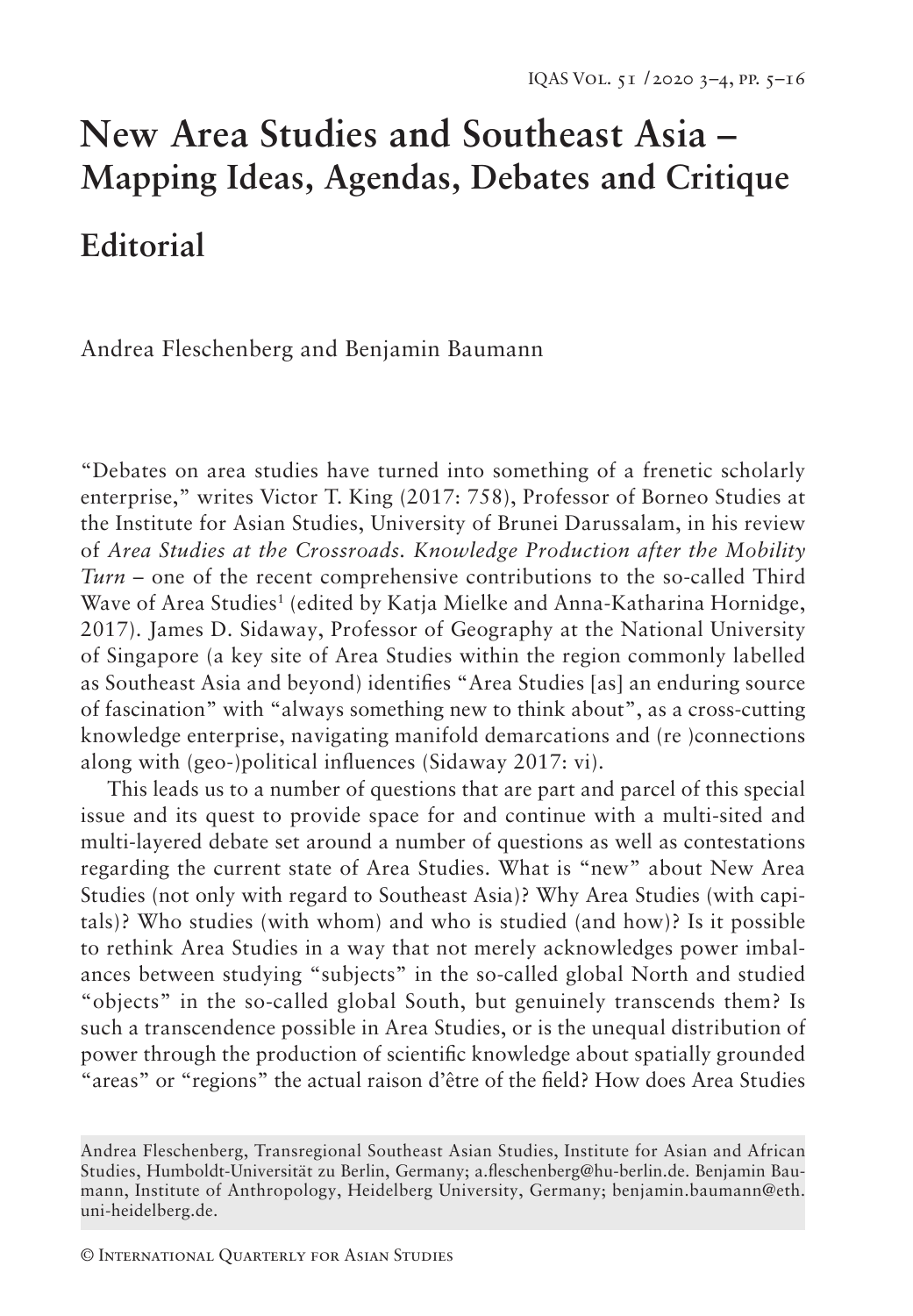# **New Area Studies and Southeast Asia – Mapping Ideas, Agendas, Debates and Critique Editorial**

Andrea Fleschenberg and Benjamin Baumann

"Debates on area studies have turned into something of a frenetic scholarly enterprise," writes Victor T. King (2017: 758), Professor of Borneo Studies at the Institute for Asian Studies, University of Brunei Darussalam, in his review of *Area Studies at the Crossroads. Knowledge Production after the Mobility Turn* – one of the recent comprehensive contributions to the so-called Third Wave of Area Studies<sup>1</sup> (edited by Katja Mielke and Anna-Katharina Hornidge, 2017). James D. Sidaway, Professor of Geography at the National University of Singapore (a key site of Area Studies within the region commonly labelled as Southeast Asia and beyond) identifies "Area Studies [as] an enduring source of fascination" with "always something new to think about", as a cross-cutting knowledge enterprise, navigating manifold demarcations and (re )connections along with (geo-)political influences (Sidaway 2017: vi).

This leads us to a number of questions that are part and parcel of this special issue and its quest to provide space for and continue with a multi-sited and multi-layered debate set around a number of questions as well as contestations regarding the current state of Area Studies. What is "new" about New Area Studies (not only with regard to Southeast Asia)? Why Area Studies (with capitals)? Who studies (with whom) and who is studied (and how)? Is it possible to rethink Area Studies in a way that not merely acknowledges power imbalances between studying "subjects" in the so-called global North and studied "objects" in the so-called global South, but genuinely transcends them? Is such a transcendence possible in Area Studies, or is the unequal distribution of power through the production of scientific knowledge about spatially grounded "areas" or "regions" the actual raison d'être of the field? How does Area Studies

Andrea Fleschenberg, Transregional Southeast Asian Studies, Institute for Asian and African Studies, Humboldt-Universität zu Berlin, Germany; a.fleschenberg@hu-berlin.de. Benjamin Baumann, Institute of Anthropology, Heidelberg University, Germany; benjamin.baumann@eth. uni-heidelberg.de.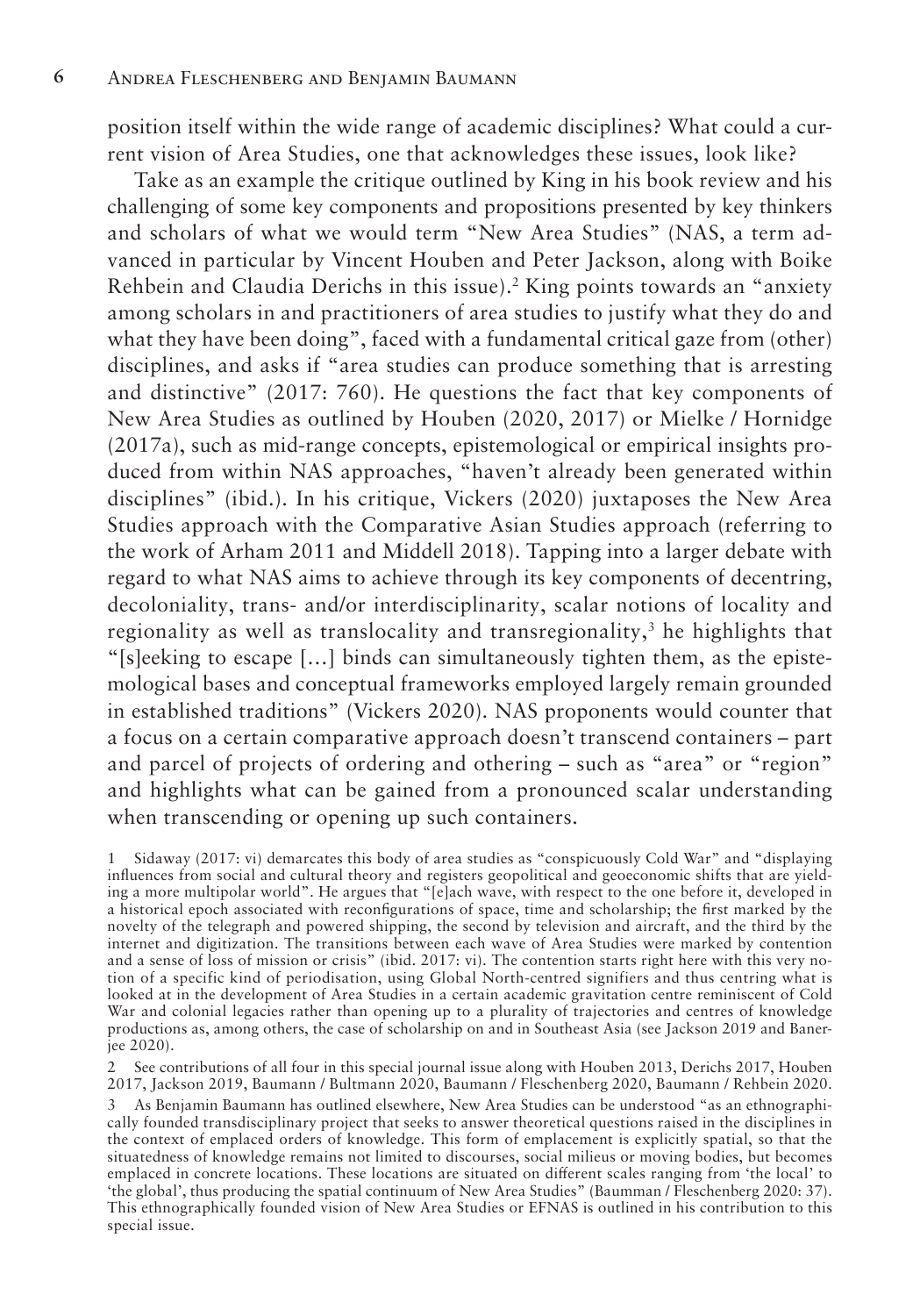position itself within the wide range of academic disciplines? What could a current vision of Area Studies, one that acknowledges these issues, look like?

Take as an example the critique outlined by King in his book review and his challenging of some key components and propositions presented by key thinkers and scholars of what we would term "New Area Studies" (NAS, a term advanced in particular by Vincent Houben and Peter Jackson, along with Boike Rehbein and Claudia Derichs in this issue).<sup>2</sup> King points towards an "anxiety among scholars in and practitioners of area studies to justify what they do and what they have been doing", faced with a fundamental critical gaze from (other) disciplines, and asks if "area studies can produce something that is arresting and distinctive" (2017: 760). He questions the fact that key components of New Area Studies as outlined by Houben (2020, 2017) or Mielke / Hornidge (2017a), such as mid-range concepts, epistemological or empirical insights produced from within NAS approaches, "haven't already been generated within disciplines" (ibid.). In his critique, Vickers (2020) juxtaposes the New Area Studies approach with the Comparative Asian Studies approach (referring to the work of Arham 2011 and Middell 2018). Tapping into a larger debate with regard to what NAS aims to achieve through its key components of decentring, decoloniality, trans- and/or interdisciplinarity, scalar notions of locality and regionality as well as translocality and transregionality,<sup>3</sup> he highlights that "[s]eeking to escape […] binds can simultaneously tighten them, as the epistemological bases and conceptual frameworks employed largely remain grounded in established traditions" (Vickers 2020). NAS proponents would counter that a focus on a certain comparative approach doesn't transcend containers – part and parcel of projects of ordering and othering – such as "area" or "region" and highlights what can be gained from a pronounced scalar understanding when transcending or opening up such containers.

2 See contributions of all four in this special journal issue along with Houben 2013, Derichs 2017, Houben 2017, Jackson 2019, Baumann / Bultmann 2020, Baumann / Fleschenberg 2020, Baumann / Rehbein 2020.

<sup>1</sup> Sidaway (2017: vi) demarcates this body of area studies as "conspicuously Cold War" and "displaying influences from social and cultural theory and registers geopolitical and geoeconomic shifts that are yielding a more multipolar world". He argues that "[e]ach wave, with respect to the one before it, developed in a historical epoch associated with reconfigurations of space, time and scholarship; the first marked by the novelty of the telegraph and powered shipping, the second by television and aircraft, and the third by the internet and digitization. The transitions between each wave of Area Studies were marked by contention and a sense of loss of mission or crisis" (ibid. 2017: vi). The contention starts right here with this very notion of a specific kind of periodisation, using Global North-centred signifiers and thus centring what is looked at in the development of Area Studies in a certain academic gravitation centre reminiscent of Cold War and colonial legacies rather than opening up to a plurality of trajectories and centres of knowledge productions as, among others, the case of scholarship on and in Southeast Asia (see Jackson 2019 and Banerjee 2020).

<sup>3</sup> As Benjamin Baumann has outlined elsewhere, New Area Studies can be understood "as an ethnographically founded transdisciplinary project that seeks to answer theoretical questions raised in the disciplines in the context of emplaced orders of knowledge. This form of emplacement is explicitly spatial, so that the situatedness of knowledge remains not limited to discourses, social milieus or moving bodies, but becomes emplaced in concrete locations. These locations are situated on different scales ranging from 'the local' to 'the global', thus producing the spatial continuum of New Area Studies" (Baumman / Fleschenberg 2020: 37). This ethnographically founded vision of New Area Studies or EFNAS is outlined in his contribution to this special issue.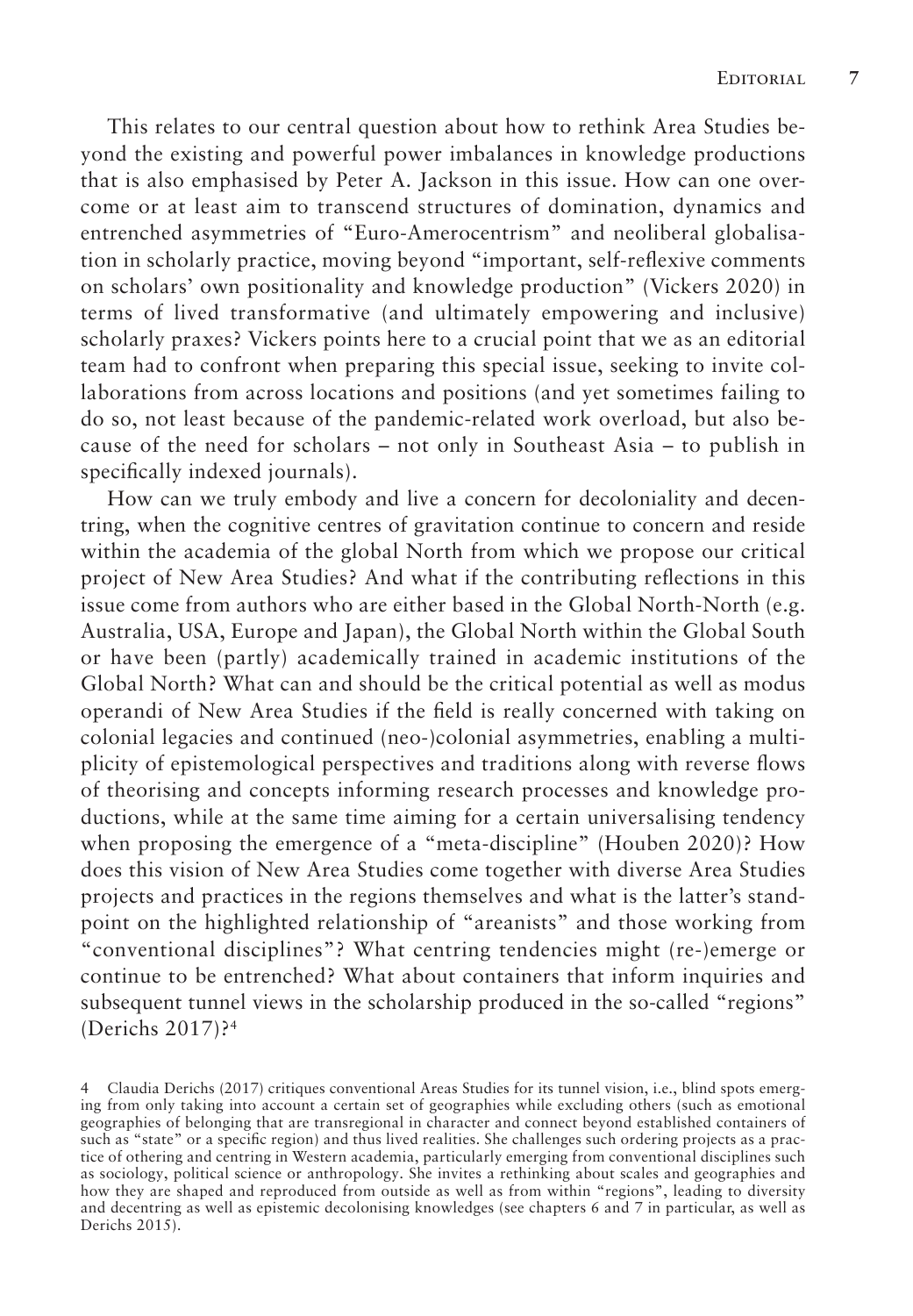This relates to our central question about how to rethink Area Studies beyond the existing and powerful power imbalances in knowledge productions that is also emphasised by Peter A. Jackson in this issue. How can one overcome or at least aim to transcend structures of domination, dynamics and entrenched asymmetries of "Euro-Amerocentrism" and neoliberal globalisation in scholarly practice, moving beyond "important, self-reflexive comments on scholars' own positionality and knowledge production" (Vickers 2020) in terms of lived transformative (and ultimately empowering and inclusive) scholarly praxes? Vickers points here to a crucial point that we as an editorial team had to confront when preparing this special issue, seeking to invite collaborations from across locations and positions (and yet sometimes failing to do so, not least because of the pandemic-related work overload, but also because of the need for scholars – not only in Southeast Asia – to publish in specifically indexed journals).

How can we truly embody and live a concern for decoloniality and decentring, when the cognitive centres of gravitation continue to concern and reside within the academia of the global North from which we propose our critical project of New Area Studies? And what if the contributing reflections in this issue come from authors who are either based in the Global North-North (e.g. Australia, USA, Europe and Japan), the Global North within the Global South or have been (partly) academically trained in academic institutions of the Global North? What can and should be the critical potential as well as modus operandi of New Area Studies if the field is really concerned with taking on colonial legacies and continued (neo-)colonial asymmetries, enabling a multiplicity of epistemological perspectives and traditions along with reverse flows of theorising and concepts informing research processes and knowledge productions, while at the same time aiming for a certain universalising tendency when proposing the emergence of a "meta-discipline" (Houben 2020)? How does this vision of New Area Studies come together with diverse Area Studies projects and practices in the regions themselves and what is the latter's standpoint on the highlighted relationship of "areanists" and those working from "conventional disciplines"? What centring tendencies might (re-)emerge or continue to be entrenched? What about containers that inform inquiries and subsequent tunnel views in the scholarship produced in the so-called "regions" (Derichs 2017)?4

<sup>4</sup> Claudia Derichs (2017) critiques conventional Areas Studies for its tunnel vision, i.e., blind spots emerging from only taking into account a certain set of geographies while excluding others (such as emotional geographies of belonging that are transregional in character and connect beyond established containers of such as "state" or a specific region) and thus lived realities. She challenges such ordering projects as a practice of othering and centring in Western academia, particularly emerging from conventional disciplines such as sociology, political science or anthropology. She invites a rethinking about scales and geographies and how they are shaped and reproduced from outside as well as from within "regions", leading to diversity and decentring as well as epistemic decolonising knowledges (see chapters 6 and 7 in particular, as well as Derichs 2015).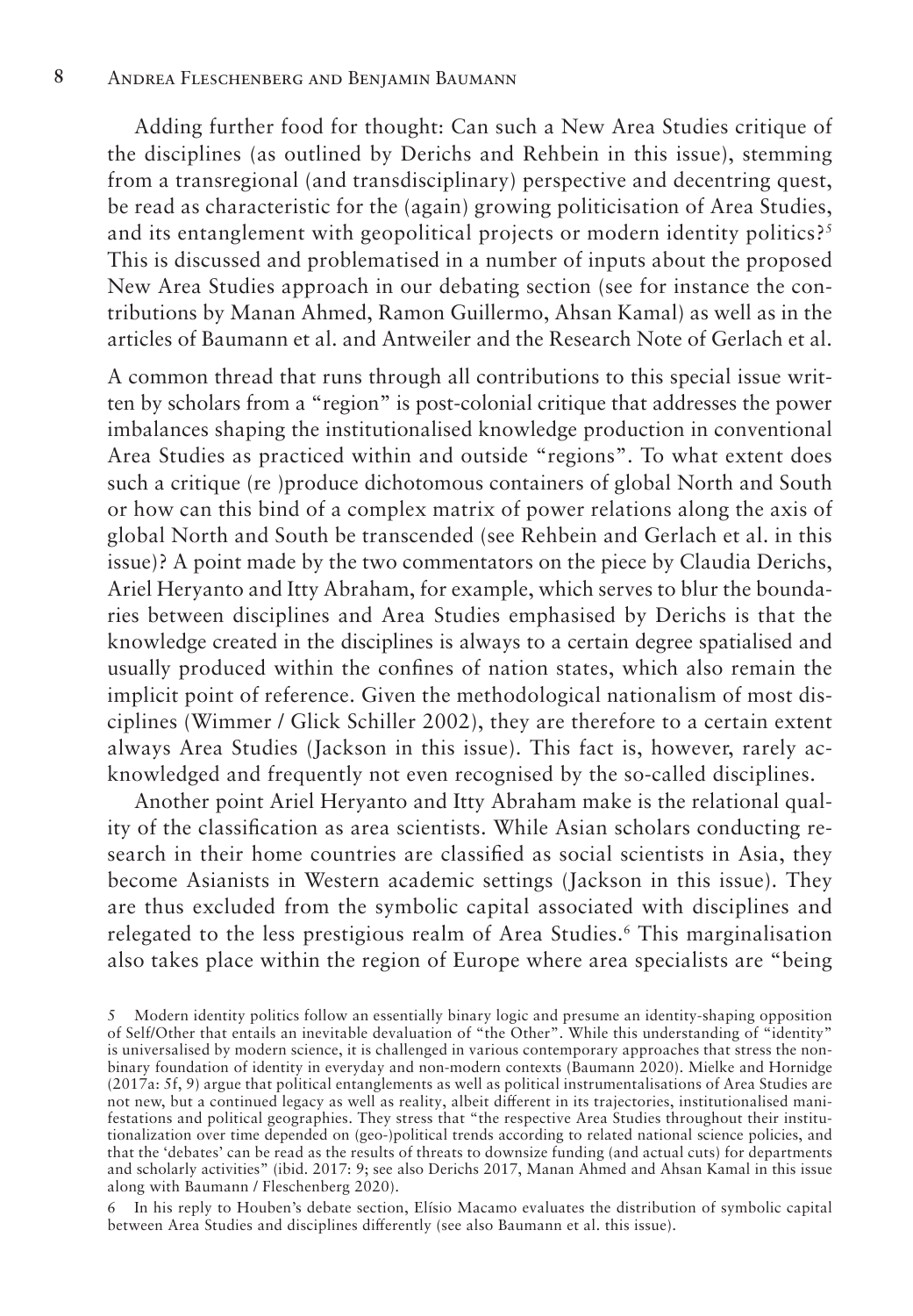Adding further food for thought: Can such a New Area Studies critique of the disciplines (as outlined by Derichs and Rehbein in this issue), stemming from a transregional (and transdisciplinary) perspective and decentring quest, be read as characteristic for the (again) growing politicisation of Area Studies, and its entanglement with geopolitical projects or modern identity politics?<sup>5</sup> This is discussed and problematised in a number of inputs about the proposed New Area Studies approach in our debating section (see for instance the contributions by Manan Ahmed, Ramon Guillermo, Ahsan Kamal) as well as in the articles of Baumann et al. and Antweiler and the Research Note of Gerlach et al.

A common thread that runs through all contributions to this special issue written by scholars from a "region" is post-colonial critique that addresses the power imbalances shaping the institutionalised knowledge production in conventional Area Studies as practiced within and outside "regions". To what extent does such a critique (re )produce dichotomous containers of global North and South or how can this bind of a complex matrix of power relations along the axis of global North and South be transcended (see Rehbein and Gerlach et al. in this issue)? A point made by the two commentators on the piece by Claudia Derichs, Ariel Heryanto and Itty Abraham, for example, which serves to blur the boundaries between disciplines and Area Studies emphasised by Derichs is that the knowledge created in the disciplines is always to a certain degree spatialised and usually produced within the confines of nation states, which also remain the implicit point of reference. Given the methodological nationalism of most disciplines (Wimmer / Glick Schiller 2002), they are therefore to a certain extent always Area Studies (Jackson in this issue). This fact is, however, rarely acknowledged and frequently not even recognised by the so-called disciplines.

Another point Ariel Heryanto and Itty Abraham make is the relational quality of the classification as area scientists. While Asian scholars conducting research in their home countries are classified as social scientists in Asia, they become Asianists in Western academic settings (Jackson in this issue). They are thus excluded from the symbolic capital associated with disciplines and relegated to the less prestigious realm of Area Studies.<sup>6</sup> This marginalisation also takes place within the region of Europe where area specialists are "being

6 In his reply to Houben's debate section, Elísio Macamo evaluates the distribution of symbolic capital between Area Studies and disciplines differently (see also Baumann et al. this issue).

<sup>5</sup> Modern identity politics follow an essentially binary logic and presume an identity-shaping opposition of Self/Other that entails an inevitable devaluation of "the Other". While this understanding of "identity" is universalised by modern science, it is challenged in various contemporary approaches that stress the nonbinary foundation of identity in everyday and non-modern contexts (Baumann 2020). Mielke and Hornidge (2017a: 5f, 9) argue that political entanglements as well as political instrumentalisations of Area Studies are not new, but a continued legacy as well as reality, albeit different in its trajectories, institutionalised manifestations and political geographies. They stress that "the respective Area Studies throughout their institutionalization over time depended on (geo-)political trends according to related national science policies, and that the 'debates' can be read as the results of threats to downsize funding (and actual cuts) for departments and scholarly activities" (ibid. 2017: 9; see also Derichs 2017, Manan Ahmed and Ahsan Kamal in this issue along with Baumann / Fleschenberg 2020).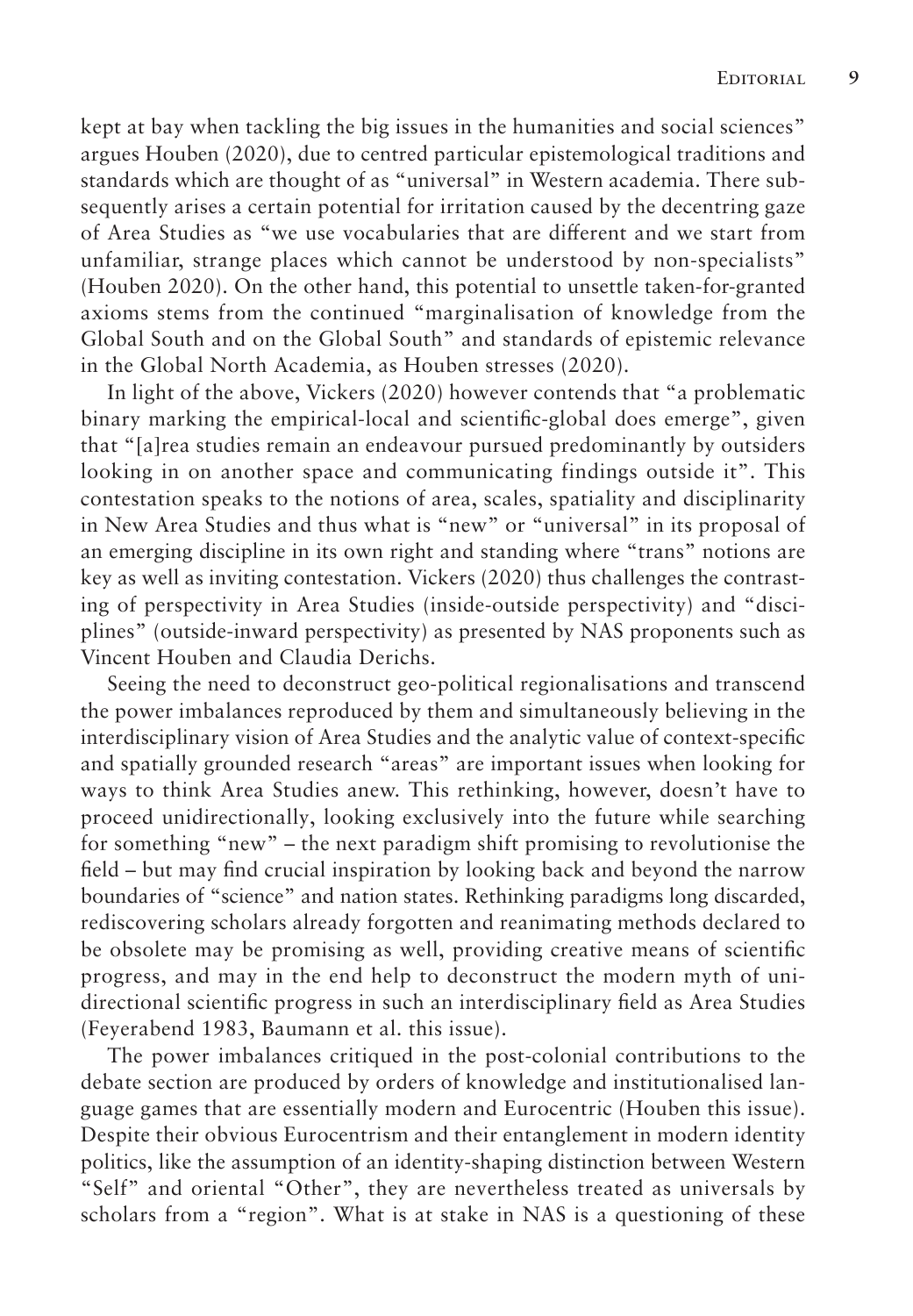kept at bay when tackling the big issues in the humanities and social sciences" argues Houben (2020), due to centred particular epistemological traditions and standards which are thought of as "universal" in Western academia. There subsequently arises a certain potential for irritation caused by the decentring gaze of Area Studies as "we use vocabularies that are different and we start from unfamiliar, strange places which cannot be understood by non-specialists" (Houben 2020). On the other hand, this potential to unsettle taken-for-granted axioms stems from the continued "marginalisation of knowledge from the Global South and on the Global South" and standards of epistemic relevance in the Global North Academia, as Houben stresses (2020).

In light of the above, Vickers (2020) however contends that "a problematic binary marking the empirical-local and scientific-global does emerge", given that "[a]rea studies remain an endeavour pursued predominantly by outsiders looking in on another space and communicating findings outside it". This contestation speaks to the notions of area, scales, spatiality and disciplinarity in New Area Studies and thus what is "new" or "universal" in its proposal of an emerging discipline in its own right and standing where "trans" notions are key as well as inviting contestation. Vickers (2020) thus challenges the contrasting of perspectivity in Area Studies (inside-outside perspectivity) and "disciplines" (outside-inward perspectivity) as presented by NAS proponents such as Vincent Houben and Claudia Derichs.

Seeing the need to deconstruct geo-political regionalisations and transcend the power imbalances reproduced by them and simultaneously believing in the interdisciplinary vision of Area Studies and the analytic value of context-specific and spatially grounded research "areas" are important issues when looking for ways to think Area Studies anew. This rethinking, however, doesn't have to proceed unidirectionally, looking exclusively into the future while searching for something "new" – the next paradigm shift promising to revolutionise the field – but may find crucial inspiration by looking back and beyond the narrow boundaries of "science" and nation states. Rethinking paradigms long discarded, rediscovering scholars already forgotten and reanimating methods declared to be obsolete may be promising as well, providing creative means of scientific progress, and may in the end help to deconstruct the modern myth of unidirectional scientific progress in such an interdisciplinary field as Area Studies (Feyerabend 1983, Baumann et al. this issue).

The power imbalances critiqued in the post-colonial contributions to the debate section are produced by orders of knowledge and institutionalised language games that are essentially modern and Eurocentric (Houben this issue). Despite their obvious Eurocentrism and their entanglement in modern identity politics, like the assumption of an identity-shaping distinction between Western "Self" and oriental "Other", they are nevertheless treated as universals by scholars from a "region". What is at stake in NAS is a questioning of these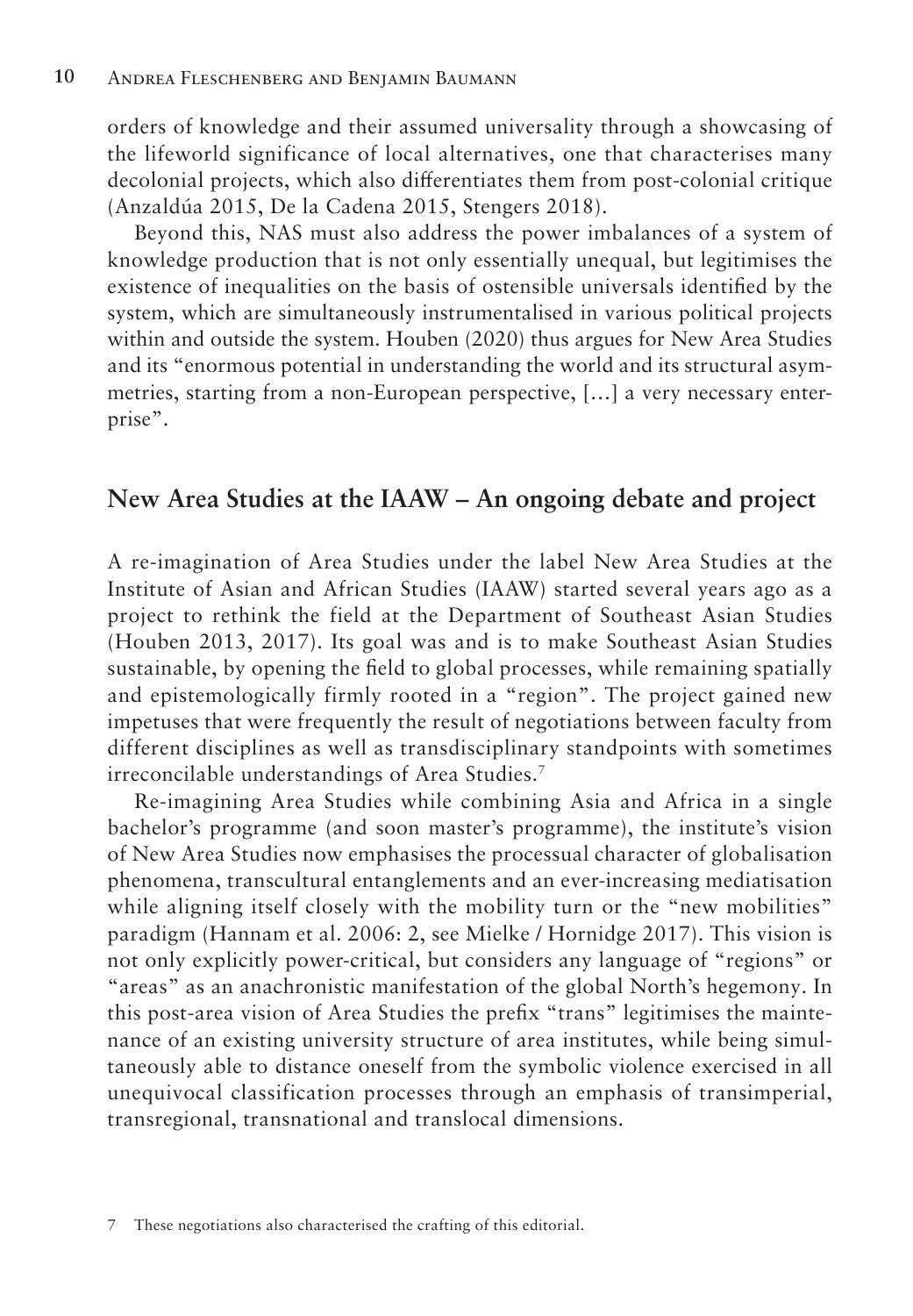orders of knowledge and their assumed universality through a showcasing of the lifeworld significance of local alternatives, one that characterises many decolonial projects, which also differentiates them from post-colonial critique (Anzaldúa 2015, De la Cadena 2015, Stengers 2018).

Beyond this, NAS must also address the power imbalances of a system of knowledge production that is not only essentially unequal, but legitimises the existence of inequalities on the basis of ostensible universals identified by the system, which are simultaneously instrumentalised in various political projects within and outside the system. Houben (2020) thus argues for New Area Studies and its "enormous potential in understanding the world and its structural asymmetries, starting from a non-European perspective, […] a very necessary enterprise".

#### **New Area Studies at the IAAW – An ongoing debate and project**

A re-imagination of Area Studies under the label New Area Studies at the Institute of Asian and African Studies (IAAW) started several years ago as a project to rethink the field at the Department of Southeast Asian Studies (Houben 2013, 2017). Its goal was and is to make Southeast Asian Studies sustainable, by opening the field to global processes, while remaining spatially and epistemologically firmly rooted in a "region". The project gained new impetuses that were frequently the result of negotiations between faculty from different disciplines as well as transdisciplinary standpoints with sometimes irreconcilable understandings of Area Studies.7

Re-imagining Area Studies while combining Asia and Africa in a single bachelor's programme (and soon master's programme), the institute's vision of New Area Studies now emphasises the processual character of globalisation phenomena, transcultural entanglements and an ever-increasing mediatisation while aligning itself closely with the mobility turn or the "new mobilities" paradigm (Hannam et al. 2006: 2, see Mielke / Hornidge 2017). This vision is not only explicitly power-critical, but considers any language of "regions" or "areas" as an anachronistic manifestation of the global North's hegemony. In this post-area vision of Area Studies the prefix "trans" legitimises the maintenance of an existing university structure of area institutes, while being simultaneously able to distance oneself from the symbolic violence exercised in all unequivocal classification processes through an emphasis of transimperial, transregional, transnational and translocal dimensions.

<sup>7</sup> These negotiations also characterised the crafting of this editorial.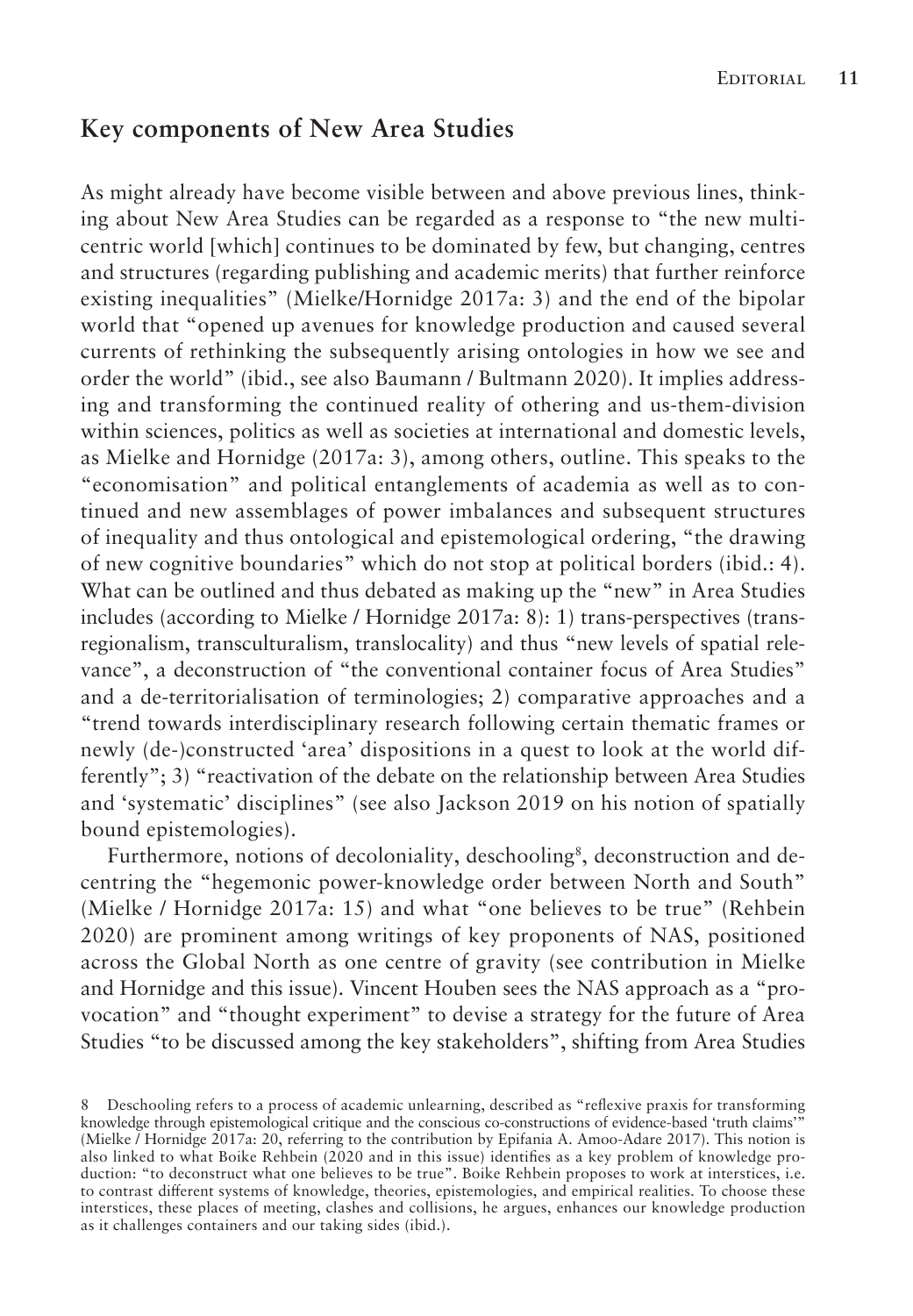### **Key components of New Area Studies**

As might already have become visible between and above previous lines, thinking about New Area Studies can be regarded as a response to "the new multicentric world [which] continues to be dominated by few, but changing, centres and structures (regarding publishing and academic merits) that further reinforce existing inequalities" (Mielke/Hornidge 2017a: 3) and the end of the bipolar world that "opened up avenues for knowledge production and caused several currents of rethinking the subsequently arising ontologies in how we see and order the world" (ibid., see also Baumann / Bultmann 2020). It implies addressing and transforming the continued reality of othering and us-them-division within sciences, politics as well as societies at international and domestic levels, as Mielke and Hornidge (2017a: 3), among others, outline. This speaks to the "economisation" and political entanglements of academia as well as to continued and new assemblages of power imbalances and subsequent structures of inequality and thus ontological and epistemological ordering, "the drawing of new cognitive boundaries" which do not stop at political borders (ibid.: 4). What can be outlined and thus debated as making up the "new" in Area Studies includes (according to Mielke / Hornidge 2017a: 8): 1) trans-perspectives (transregionalism, transculturalism, translocality) and thus "new levels of spatial relevance", a deconstruction of "the conventional container focus of Area Studies" and a de-territorialisation of terminologies; 2) comparative approaches and a "trend towards interdisciplinary research following certain thematic frames or newly (de-)constructed 'area' dispositions in a quest to look at the world differently"; 3) "reactivation of the debate on the relationship between Area Studies and 'systematic' disciplines" (see also Jackson 2019 on his notion of spatially bound epistemologies).

Furthermore, notions of decoloniality, deschooling<sup>8</sup>, deconstruction and decentring the "hegemonic power-knowledge order between North and South" (Mielke / Hornidge 2017a: 15) and what "one believes to be true" (Rehbein 2020) are prominent among writings of key proponents of NAS, positioned across the Global North as one centre of gravity (see contribution in Mielke and Hornidge and this issue). Vincent Houben sees the NAS approach as a "provocation" and "thought experiment" to devise a strategy for the future of Area Studies "to be discussed among the key stakeholders", shifting from Area Studies

<sup>8</sup> Deschooling refers to a process of academic unlearning, described as "reflexive praxis for transforming knowledge through epistemological critique and the conscious co-constructions of evidence-based 'truth claims'" (Mielke / Hornidge 2017a: 20, referring to the contribution by Epifania A. Amoo-Adare 2017). This notion is also linked to what Boike Rehbein (2020 and in this issue) identifies as a key problem of knowledge production: "to deconstruct what one believes to be true". Boike Rehbein proposes to work at interstices, i.e. to contrast different systems of knowledge, theories, epistemologies, and empirical realities. To choose these interstices, these places of meeting, clashes and collisions, he argues, enhances our knowledge production as it challenges containers and our taking sides (ibid.).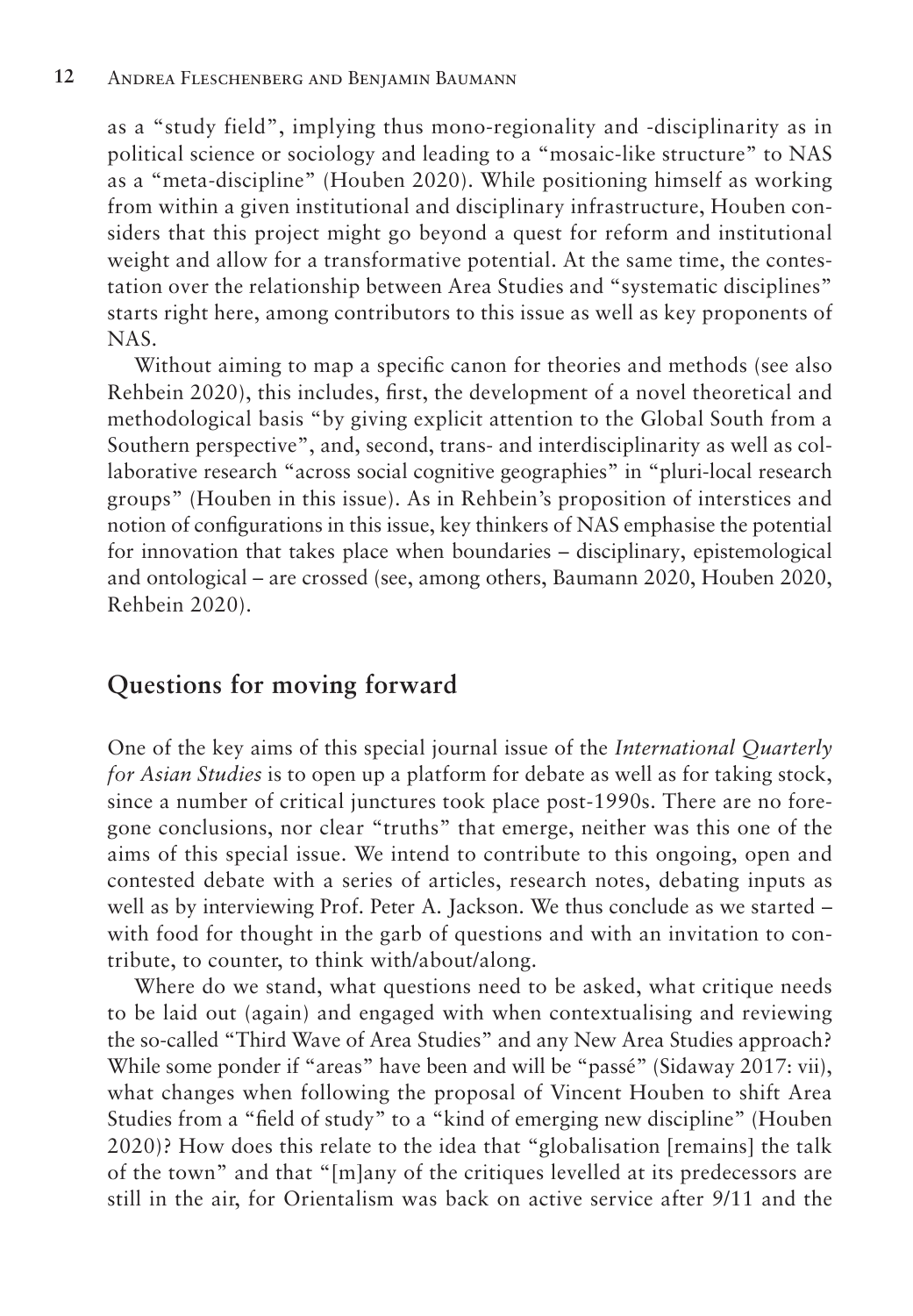as a "study field", implying thus mono-regionality and -disciplinarity as in political science or sociology and leading to a "mosaic-like structure" to NAS as a "meta-discipline" (Houben 2020). While positioning himself as working from within a given institutional and disciplinary infrastructure, Houben considers that this project might go beyond a quest for reform and institutional weight and allow for a transformative potential. At the same time, the contestation over the relationship between Area Studies and "systematic disciplines" starts right here, among contributors to this issue as well as key proponents of NAS.

Without aiming to map a specific canon for theories and methods (see also Rehbein 2020), this includes, first, the development of a novel theoretical and methodological basis "by giving explicit attention to the Global South from a Southern perspective", and, second, trans- and interdisciplinarity as well as collaborative research "across social cognitive geographies" in "pluri-local research groups" (Houben in this issue). As in Rehbein's proposition of interstices and notion of configurations in this issue, key thinkers of NAS emphasise the potential for innovation that takes place when boundaries – disciplinary, epistemological and ontological – are crossed (see, among others, Baumann 2020, Houben 2020, Rehbein 2020).

## **Questions for moving forward**

One of the key aims of this special journal issue of the *International Quarterly for Asian Studies* is to open up a platform for debate as well as for taking stock, since a number of critical junctures took place post-1990s. There are no foregone conclusions, nor clear "truths" that emerge, neither was this one of the aims of this special issue. We intend to contribute to this ongoing, open and contested debate with a series of articles, research notes, debating inputs as well as by interviewing Prof. Peter A. Jackson. We thus conclude as we started – with food for thought in the garb of questions and with an invitation to contribute, to counter, to think with/about/along.

Where do we stand, what questions need to be asked, what critique needs to be laid out (again) and engaged with when contextualising and reviewing the so-called "Third Wave of Area Studies" and any New Area Studies approach? While some ponder if "areas" have been and will be "passé" (Sidaway 2017: vii), what changes when following the proposal of Vincent Houben to shift Area Studies from a "field of study" to a "kind of emerging new discipline" (Houben 2020)? How does this relate to the idea that "globalisation [remains] the talk of the town" and that "[m]any of the critiques levelled at its predecessors are still in the air, for Orientalism was back on active service after 9/11 and the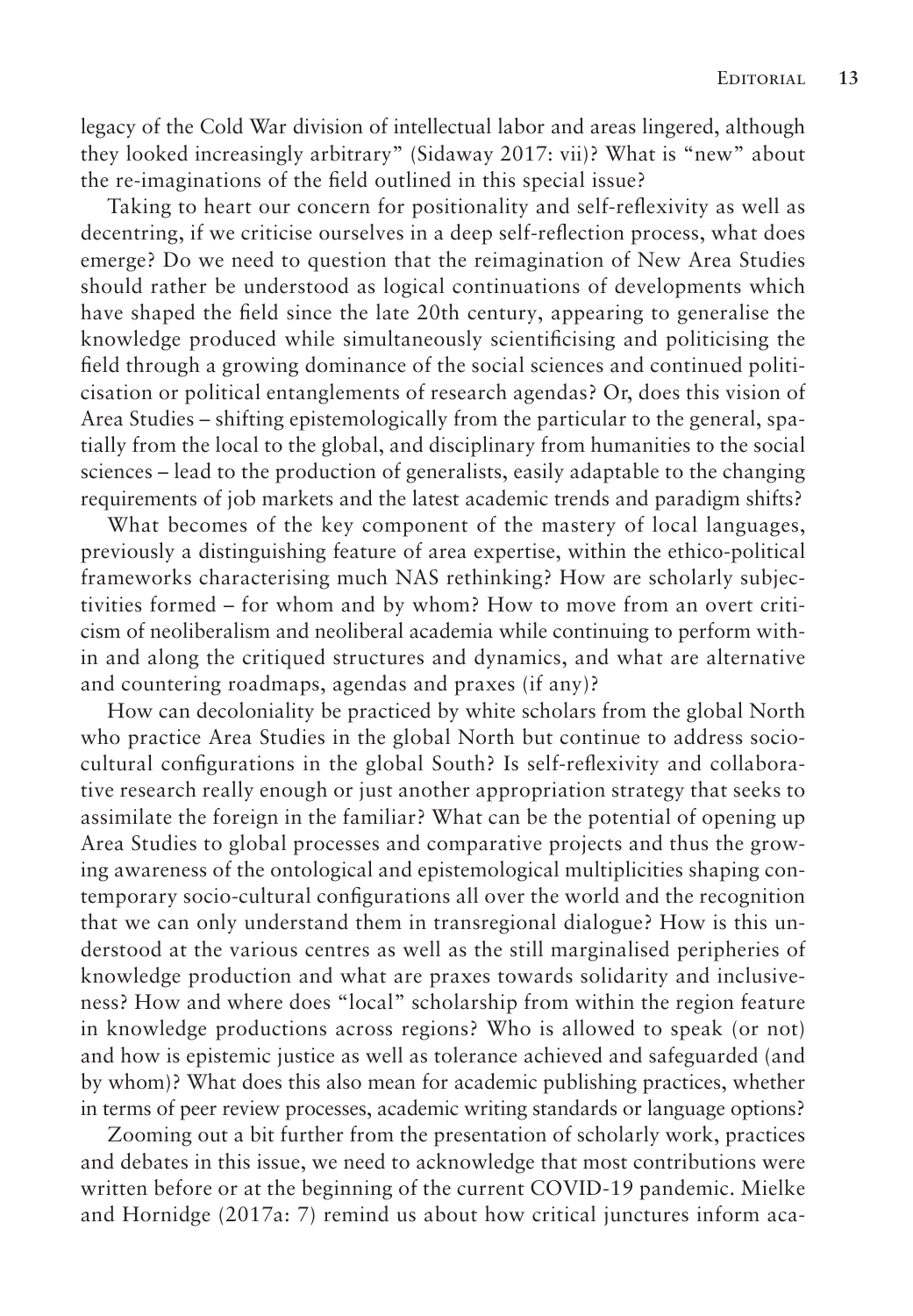legacy of the Cold War division of intellectual labor and areas lingered, although they looked increasingly arbitrary" (Sidaway 2017: vii)? What is "new" about the re-imaginations of the field outlined in this special issue?

Taking to heart our concern for positionality and self-reflexivity as well as decentring, if we criticise ourselves in a deep self-reflection process, what does emerge? Do we need to question that the reimagination of New Area Studies should rather be understood as logical continuations of developments which have shaped the field since the late 20th century, appearing to generalise the knowledge produced while simultaneously scientificising and politicising the field through a growing dominance of the social sciences and continued politicisation or political entanglements of research agendas? Or, does this vision of Area Studies – shifting epistemologically from the particular to the general, spatially from the local to the global, and disciplinary from humanities to the social sciences – lead to the production of generalists, easily adaptable to the changing requirements of job markets and the latest academic trends and paradigm shifts?

What becomes of the key component of the mastery of local languages, previously a distinguishing feature of area expertise, within the ethico-political frameworks characterising much NAS rethinking? How are scholarly subjectivities formed – for whom and by whom? How to move from an overt criticism of neoliberalism and neoliberal academia while continuing to perform within and along the critiqued structures and dynamics, and what are alternative and countering roadmaps, agendas and praxes (if any)?

How can decoloniality be practiced by white scholars from the global North who practice Area Studies in the global North but continue to address sociocultural configurations in the global South? Is self-reflexivity and collaborative research really enough or just another appropriation strategy that seeks to assimilate the foreign in the familiar? What can be the potential of opening up Area Studies to global processes and comparative projects and thus the growing awareness of the ontological and epistemological multiplicities shaping contemporary socio-cultural configurations all over the world and the recognition that we can only understand them in transregional dialogue? How is this understood at the various centres as well as the still marginalised peripheries of knowledge production and what are praxes towards solidarity and inclusiveness? How and where does "local" scholarship from within the region feature in knowledge productions across regions? Who is allowed to speak (or not) and how is epistemic justice as well as tolerance achieved and safeguarded (and by whom)? What does this also mean for academic publishing practices, whether in terms of peer review processes, academic writing standards or language options?

Zooming out a bit further from the presentation of scholarly work, practices and debates in this issue, we need to acknowledge that most contributions were written before or at the beginning of the current COVID-19 pandemic. Mielke and Hornidge (2017a: 7) remind us about how critical junctures inform aca-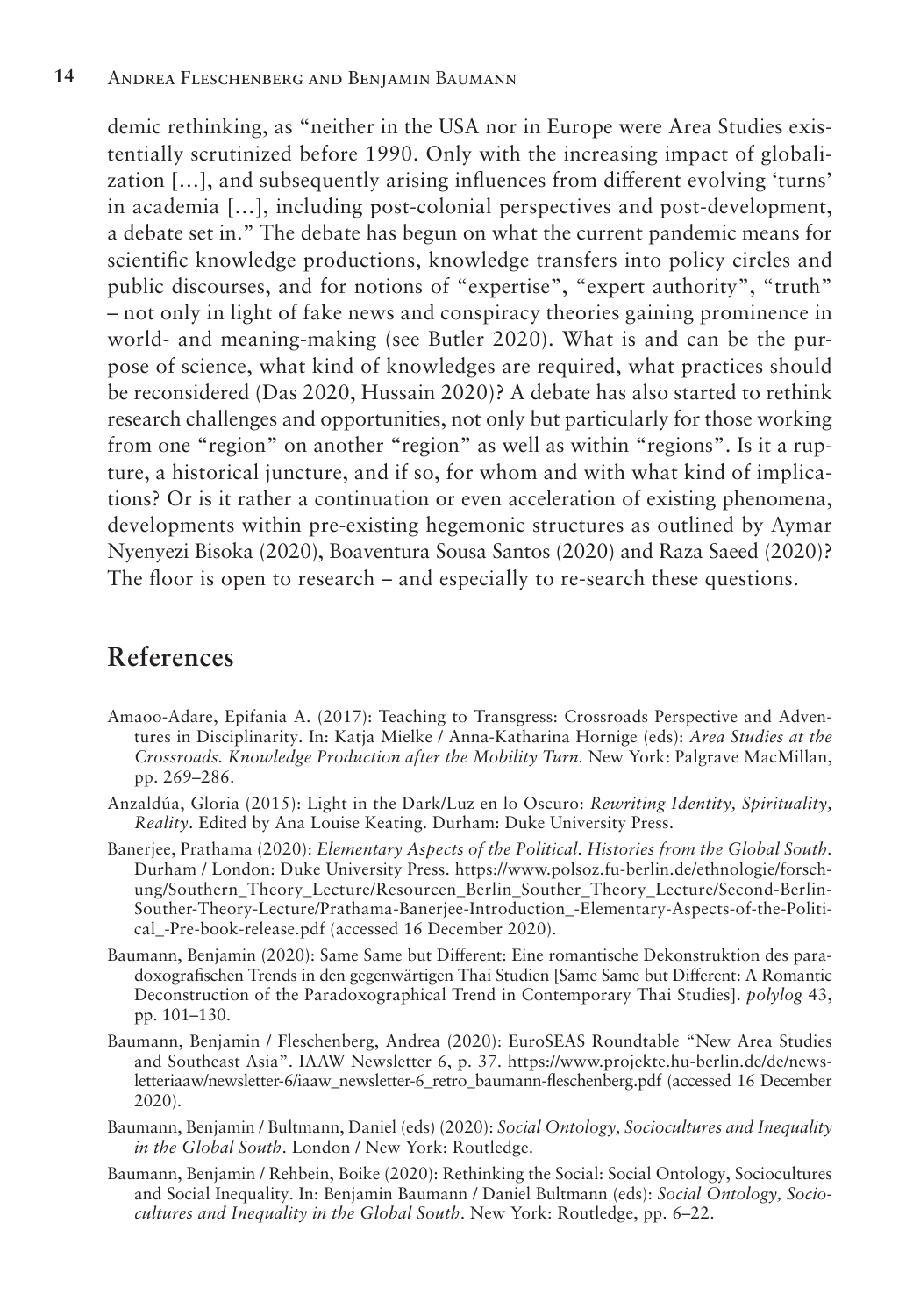demic rethinking, as "neither in the USA nor in Europe were Area Studies existentially scrutinized before 1990. Only with the increasing impact of globalization […], and subsequently arising influences from different evolving 'turns' in academia […], including post-colonial perspectives and post-development, a debate set in." The debate has begun on what the current pandemic means for scientific knowledge productions, knowledge transfers into policy circles and public discourses, and for notions of "expertise", "expert authority", "truth" – not only in light of fake news and conspiracy theories gaining prominence in world- and meaning-making (see Butler 2020). What is and can be the purpose of science, what kind of knowledges are required, what practices should be reconsidered (Das 2020, Hussain 2020)? A debate has also started to rethink research challenges and opportunities, not only but particularly for those working from one "region" on another "region" as well as within "regions". Is it a rupture, a historical juncture, and if so, for whom and with what kind of implications? Or is it rather a continuation or even acceleration of existing phenomena, developments within pre-existing hegemonic structures as outlined by Aymar Nyenyezi Bisoka (2020), Boaventura Sousa Santos (2020) and Raza Saeed (2020)? The floor is open to research – and especially to re-search these questions.

# **References**

- Amaoo-Adare, Epifania A. (2017): Teaching to Transgress: Crossroads Perspective and Adventures in Disciplinarity. In: Katja Mielke / Anna-Katharina Hornige (eds): *Area Studies at the Crossroads. Knowledge Production after the Mobility Turn.* New York: Palgrave MacMillan, pp. 269–286.
- Anzaldúa, Gloria (2015): Light in the Dark/Luz en lo Oscuro: *Rewriting Identity, Spirituality, Reality*. Edited by Ana Louise Keating. Durham: Duke University Press.
- Banerjee, Prathama (2020): *Elementary Aspects of the Political. Histories from the Global South.*  Durham / London: Duke University Press. https://www.polsoz.fu-berlin.de/ethnologie/forschung/Southern\_Theory\_Lecture/Resourcen\_Berlin\_Souther\_Theory\_Lecture/Second-Berlin-Souther-Theory-Lecture/Prathama-Banerjee-Introduction\_-Elementary-Aspects-of-the-Political\_-Pre-book-release.pdf (accessed 16 December 2020).
- Baumann, Benjamin (2020): Same Same but Different: Eine romantische Dekonstruktion des paradoxografischen Trends in den gegenwärtigen Thai Studien [Same Same but Different: A Romantic Deconstruction of the Paradoxographical Trend in Contemporary Thai Studies]. *polylog* 43, pp. 101–130.
- Baumann, Benjamin / Fleschenberg, Andrea (2020): EuroSEAS Roundtable "New Area Studies and Southeast Asia". IAAW Newsletter 6, p. 37. https://www.projekte.hu-berlin.de/de/newsletteriaaw/newsletter-6/iaaw\_newsletter-6\_retro\_baumann-fleschenberg.pdf (accessed 16 December 2020).
- Baumann, Benjamin / Bultmann, Daniel (eds) (2020): *Social Ontology, Sociocultures and Inequality in the Global South*. London / New York: Routledge.
- Baumann, Benjamin / Rehbein, Boike (2020): Rethinking the Social: Social Ontology, Sociocultures and Social Inequality. In: Benjamin Baumann / Daniel Bultmann (eds): *Social Ontology, Sociocultures and Inequality in the Global South*. New York: Routledge, pp. 6–22.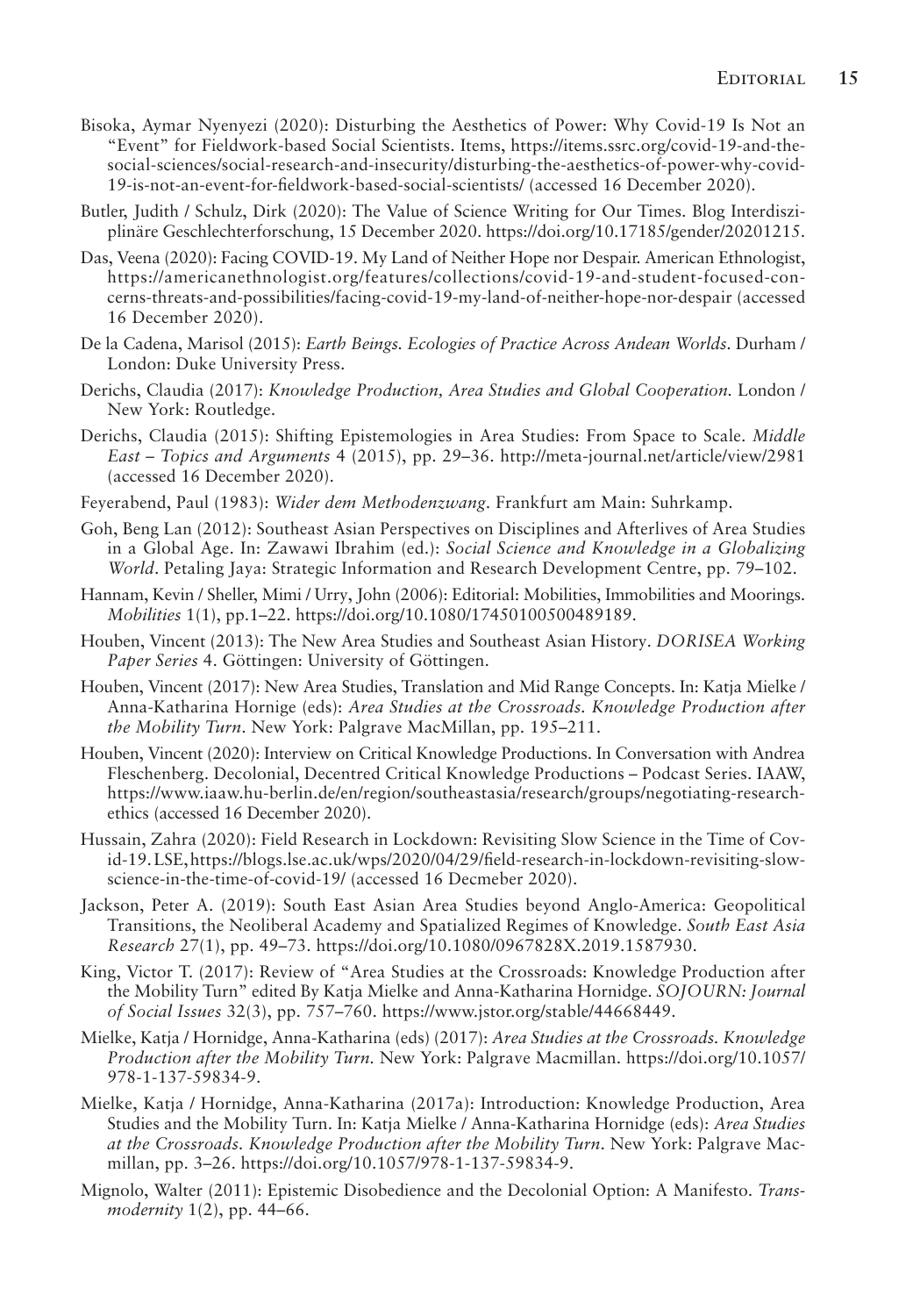- Bisoka, Aymar Nyenyezi (2020): Disturbing the Aesthetics of Power: Why Covid-19 Is Not an "Event" for Fieldwork-based Social Scientists. Items, https://items.ssrc.org/covid-19-and-thesocial-sciences/social-research-and-insecurity/disturbing-the-aesthetics-of-power-why-covid-19-is-not-an-event-for-fieldwork-based-social-scientists/ (accessed 16 December 2020).
- Butler, Judith / Schulz, Dirk (2020): The Value of Science Writing for Our Times. Blog Interdisziplinäre Geschlechterforschung, 15 December 2020. https://doi.org/10.17185/gender/20201215.
- Das, Veena (2020): Facing COVID-19. My Land of Neither Hope nor Despair. American Ethnologist, https://americanethnologist.org/features/collections/covid-19-and-student-focused-concerns-threats-and-possibilities/facing-covid-19-my-land-of-neither-hope-nor-despair (accessed 16 December 2020).
- De la Cadena, Marisol (2015): *Earth Beings. Ecologies of Practice Across Andean Worlds*. Durham / London: Duke University Press.
- Derichs, Claudia (2017): *Knowledge Production, Area Studies and Global Cooperation.* London / New York: Routledge.
- Derichs, Claudia (2015): Shifting Epistemologies in Area Studies: From Space to Scale. *Middle East – Topics and Arguments* 4 (2015), pp. 29–36. http://meta-journal.net/article/view/2981 (accessed 16 December 2020).
- Feyerabend, Paul (1983): *Wider dem Methodenzwang*. Frankfurt am Main: Suhrkamp.
- Goh, Beng Lan (2012): Southeast Asian Perspectives on Disciplines and Afterlives of Area Studies in a Global Age. In: Zawawi Ibrahim (ed.): *Social Science and Knowledge in a Globalizing World*. Petaling Jaya: Strategic Information and Research Development Centre, pp. 79–102.
- Hannam, Kevin / Sheller, Mimi / Urry, John (2006): Editorial: Mobilities, Immobilities and Moorings. *Mobilities* 1(1), pp.1–22. https://doi.org/10.1080/17450100500489189.
- Houben, Vincent (2013): The New Area Studies and Southeast Asian History. *DORISEA Working Paper Series* 4. Göttingen: University of Göttingen.
- Houben, Vincent (2017): New Area Studies, Translation and Mid Range Concepts. In: Katja Mielke / Anna-Katharina Hornige (eds): *Area Studies at the Crossroads. Knowledge Production after the Mobility Turn*. New York: Palgrave MacMillan, pp. 195–211.
- Houben, Vincent (2020): Interview on Critical Knowledge Productions. In Conversation with Andrea Fleschenberg. Decolonial, Decentred Critical Knowledge Productions – Podcast Series. IAAW, https://www.iaaw.hu-berlin.de/en/region/southeastasia/research/groups/negotiating-researchethics (accessed 16 December 2020).
- Hussain, Zahra (2020): Field Research in Lockdown: Revisiting Slow Science in the Time of Covid-19. LSE, https://blogs.lse.ac.uk/wps/2020/04/29/field-research-in-lockdown-revisiting-slowscience-in-the-time-of-covid-19/ (accessed 16 Decmeber 2020).
- Jackson, Peter A. (2019): South East Asian Area Studies beyond Anglo-America: Geopolitical Transitions, the Neoliberal Academy and Spatialized Regimes of Knowledge. *South East Asia Research* 27(1), pp. 49–73. https://doi.org/10.1080/0967828X.2019.1587930.
- King, Victor T. (2017): Review of "Area Studies at the Crossroads: Knowledge Production after the Mobility Turn" edited By Katja Mielke and Anna-Katharina Hornidge. *SOJOURN: Journal of Social Issues* 32(3), pp. 757–760. https://www.jstor.org/stable/44668449.
- Mielke, Katja / Hornidge, Anna-Katharina (eds) (2017): *Area Studies at the Crossroads. Knowledge Production after the Mobility Turn.* New York: Palgrave Macmillan. https://doi.org/10.1057/ 978-1-137-59834-9.
- Mielke, Katja / Hornidge, Anna-Katharina (2017a): Introduction: Knowledge Production, Area Studies and the Mobility Turn. In: Katja Mielke / Anna-Katharina Hornidge (eds): *Area Studies at the Crossroads. Knowledge Production after the Mobility Turn*. New York: Palgrave Macmillan, pp. 3–26. https://doi.org/10.1057/978-1-137-59834-9.
- Mignolo, Walter (2011): Epistemic Disobedience and the Decolonial Option: A Manifesto. *Transmodernity* 1(2), pp. 44–66.